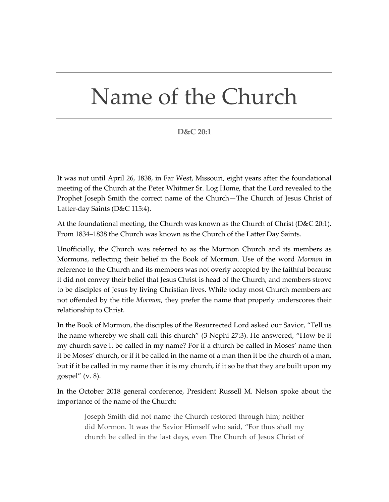## Name of the Church

## **D&C 20:1**

It was not until April 26, 1838, in Far West, Missouri, eight years after the foundational meeting of the Church at the Peter Whitmer Sr. Log Home, that the Lord revealed to the Prophet Joseph Smith the correct name of the Church—The Church of Jesus Christ of Latter-day Saints (D&C 115:4).

At the foundational meeting, the Church was known as the Church of Christ ( $D&C 20:1$ ). From 1834–1838 the Church was known as the Church of the Latter Day Saints.

Unofficially, the Church was referred to as the Mormon Church and its members as Mormons, reflecting their belief in the Book of Mormon. Use of the word *Mormon* in reference to the Church and its members was not overly accepted by the faithful because it did not convey their belief that Jesus Christ is head of the Church, and members strove to be disciples of Jesus by living Christian lives. While today most Church members are not offended by the title *Mormon*, they prefer the name that properly underscores their relationship to Christ.

In the Book of Mormon, the disciples of the Resurrected Lord asked our Savior, "Tell us the name whereby we shall call this church" (3 Nephi 27:3). He answered, "How be it my church save it be called in my name? For if a church be called in Moses' name then it be Moses' church, or if it be called in the name of a man then it be the church of a man, but if it be called in my name then it is my church, if it so be that they are built upon my gospel" (v. 8).

In the October 2018 general conference, President Russell M. Nelson spoke about the importance of the name of the Church:

Joseph Smith did not name the Church restored through him; neither did Mormon. It was the Savior Himself who said, "For thus shall my church be called in the last days, even The Church of Jesus Christ of